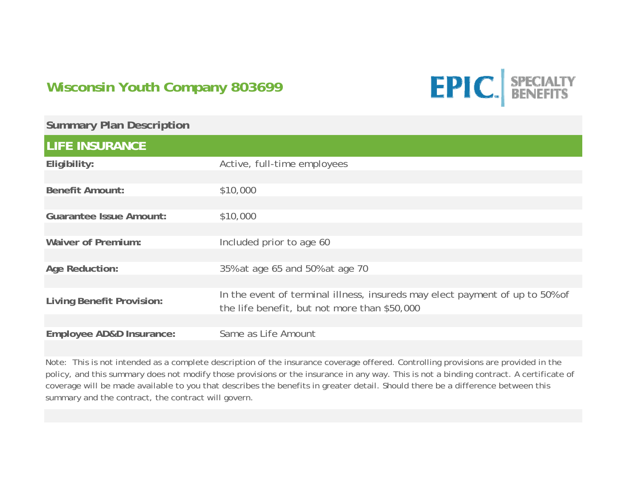## **Wisconsin Youth Company 803699**



| <b>Summary Plan Description</b>  |                                                                                                                              |
|----------------------------------|------------------------------------------------------------------------------------------------------------------------------|
| <b>LIFE INSURANCE</b>            |                                                                                                                              |
| Eligibility:                     | Active, full-time employees                                                                                                  |
| <b>Benefit Amount:</b>           | \$10,000                                                                                                                     |
| <b>Guarantee Issue Amount:</b>   | \$10,000                                                                                                                     |
| <b>Waiver of Premium:</b>        | Included prior to age 60                                                                                                     |
| <b>Age Reduction:</b>            | 35% at age 65 and 50% at age 70                                                                                              |
| <b>Living Benefit Provision:</b> | In the event of terminal illness, insureds may elect payment of up to 50% of<br>the life benefit, but not more than \$50,000 |
| Employee AD&D Insurance:         | Same as Life Amount                                                                                                          |

Note: This is not intended as a complete description of the insurance coverage offered. Controlling provisions are provided in the policy, and this summary does not modify those provisions or the insurance in any way. This is not a binding contract. A certificate of coverage will be made available to you that describes the benefits in greater detail. Should there be a difference between this summary and the contract, the contract will govern.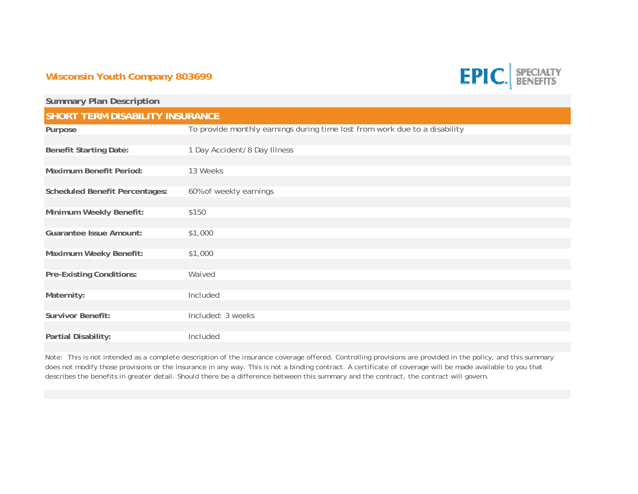## **Wisconsin Youth Company 803699**



| <b>Summary Plan Description</b>        |                                                                            |  |
|----------------------------------------|----------------------------------------------------------------------------|--|
| <b>SHORT TERM DISABILITY INSURANCE</b> |                                                                            |  |
| Purpose                                | To provide monthly earnings during time lost from work due to a disability |  |
| <b>Benefit Starting Date:</b>          | 1 Day Accident/8 Day Illness                                               |  |
| <b>Maximum Benefit Period:</b>         | 13 Weeks                                                                   |  |
| <b>Scheduled Benefit Percentages:</b>  | 60% of weekly earnings                                                     |  |
| Minimum Weekly Benefit:                | \$150                                                                      |  |
| <b>Guarantee Issue Amount:</b>         | \$1,000                                                                    |  |
| Maximum Weeky Benefit:                 | \$1,000                                                                    |  |
| <b>Pre-Existing Conditions:</b>        | Waived                                                                     |  |
| Maternity:                             | Included                                                                   |  |
| <b>Survivor Benefit:</b>               | Included: 3 weeks                                                          |  |
| Partial Disability:                    | Included                                                                   |  |

Note: This is not intended as a complete description of the insurance coverage offered. Controlling provisions are provided in the policy, and this summary does not modify those provisions or the insurance in any way. This is not a binding contract. A certificate of coverage will be made available to you that describes the benefits in greater detail. Should there be a difference between this summary and the contract, the contract will govern.